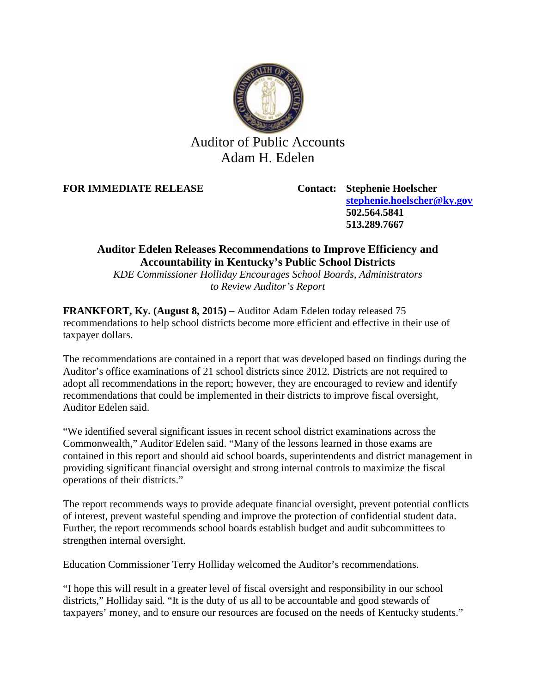

## Auditor of Public Accounts Adam H. Edelen

**FOR IMMEDIATE RELEASE Contact: Stephenie Hoelscher**

**[stephenie.hoelscher@ky.gov](mailto:stephenie.hoelscher@ky.gov) 502.564.5841 513.289.7667**

## **Auditor Edelen Releases Recommendations to Improve Efficiency and Accountability in Kentucky's Public School Districts**

*KDE Commissioner Holliday Encourages School Boards, Administrators to Review Auditor's Report*

**FRANKFORT, Ky. (August 8, 2015) –** Auditor Adam Edelen today released 75 recommendations to help school districts become more efficient and effective in their use of taxpayer dollars.

The recommendations are contained in a report that was developed based on findings during the Auditor's office examinations of 21 school districts since 2012. Districts are not required to adopt all recommendations in the report; however, they are encouraged to review and identify recommendations that could be implemented in their districts to improve fiscal oversight, Auditor Edelen said.

"We identified several significant issues in recent school district examinations across the Commonwealth," Auditor Edelen said. "Many of the lessons learned in those exams are contained in this report and should aid school boards, superintendents and district management in providing significant financial oversight and strong internal controls to maximize the fiscal operations of their districts."

The report recommends ways to provide adequate financial oversight, prevent potential conflicts of interest, prevent wasteful spending and improve the protection of confidential student data. Further, the report recommends school boards establish budget and audit subcommittees to strengthen internal oversight.

Education Commissioner Terry Holliday welcomed the Auditor's recommendations.

"I hope this will result in a greater level of fiscal oversight and responsibility in our school districts," Holliday said. "It is the duty of us all to be accountable and good stewards of taxpayers' money, and to ensure our resources are focused on the needs of Kentucky students."